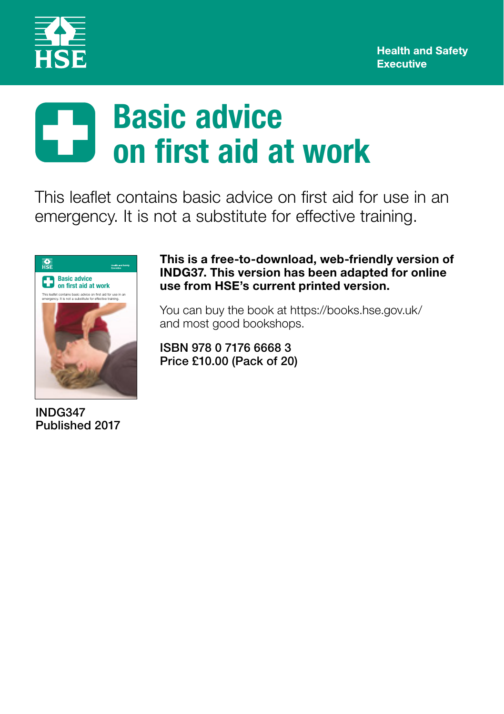

# **Basic advice** 5 **on first aid at work**

This leaflet contains basic advice on first aid for use in an emergency. It is not a substitute for effective training.



INDG347 Published 2017 This is a free-to-download, web-friendly version of INDG37. This version has been adapted for online use from HSE's current printed version.

You can buy the book at https://books.hse.gov.uk/ and most good bookshops.

ISBN 978 0 7176 6668 3 Price £10.00 (Pack of 20)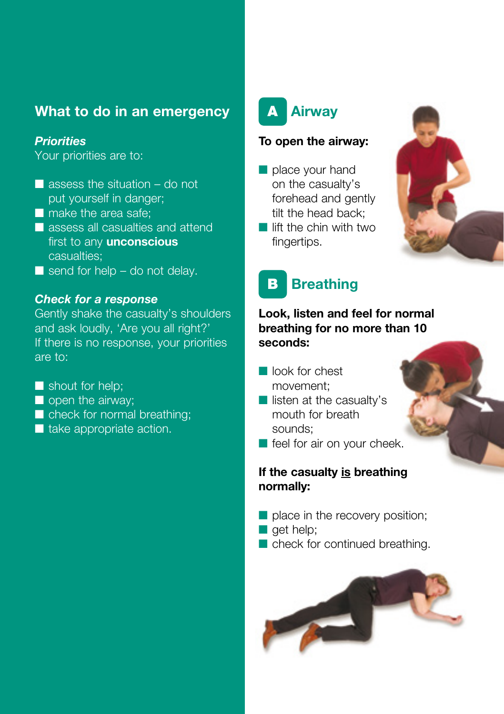## **What to do in an emergency**

### *Priorities*

Your priorities are to:

- $\blacksquare$  assess the situation do not put yourself in danger;
- make the area safe;
- assess all casualties and attend first to any **unconscious** casualties;
- $\blacksquare$  send for help do not delay.

#### *Check for a response*

Gently shake the casualty's shoulders and ask loudly, 'Are you all right?' If there is no response, your priorities are to:

- shout for help;
- open the airway;
- check for normal breathing;
- take appropriate action.



#### **To open the airway:**

- place your hand on the casualty's forehead and gently tilt the head back;
- lift the chin with two fingertips.



## **B** Breathing

### **Look, listen and feel for normal breathing for no more than 10 seconds:**

- look for chest movement;
- listen at the casualty's mouth for breath sounds;
- feel for air on your cheek.

### **If the casualty is breathing normally:**

- place in the recovery position;
- get help;
- check for continued breathing.

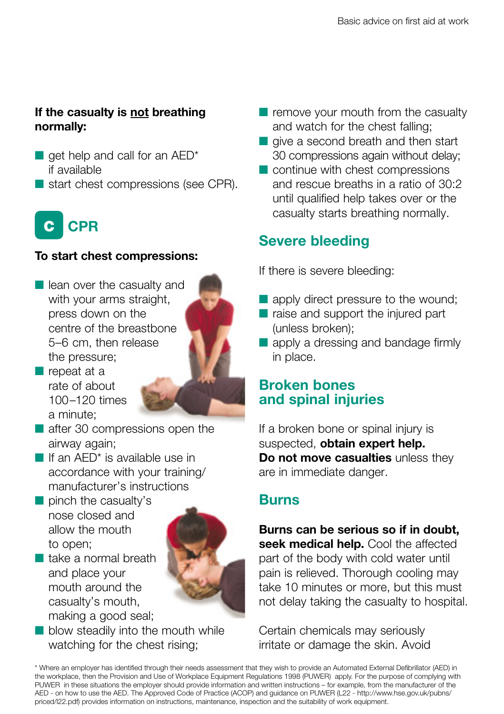## **If the casualty is not breathing normally:**

- $\blacksquare$  get help and call for an AED\* if available
- start chest compressions (see CPR).

# C **CPR**

### **To start chest compressions:**

■ lean over the casualty and with your arms straight, press down on the centre of the breastbone 5–6 cm, then release the pressure;



- repeat at a rate of about 100–120 times a minute;
- after 30 compressions open the airway again;
- If an AED<sup>\*</sup> is available use in accordance with your training/ manufacturer's instructions
- pinch the casualty's nose closed and allow the mouth to open;
- take a normal breath and place your mouth around the casualty's mouth, making a good seal;



■ blow steadily into the mouth while watching for the chest rising;

- remove your mouth from the casualty and watch for the chest falling;
- give a second breath and then start 30 compressions again without delay;
- continue with chest compressions and rescue breaths in a ratio of 30:2 until qualified help takes over or the casualty starts breathing normally.

## **Severe bleeding**

If there is severe bleeding:

- apply direct pressure to the wound;
- raise and support the injured part (unless broken);
- apply a dressing and bandage firmly in place.

## **Broken bones and spinal injuries**

If a broken bone or spinal injury is suspected, **obtain expert help. Do not move casualties** unless they are in immediate danger.

## **Burns**

**Burns can be serious so if in doubt, seek medical help.** Cool the affected part of the body with cold water until pain is relieved. Thorough cooling may take 10 minutes or more, but this must not delay taking the casualty to hospital.

Certain chemicals may seriously irritate or damage the skin. Avoid

\* Where an employer has identified through their needs assessment that they wish to provide an Automated External Defibrillator (AED) in the workplace, then the Provision and Use of Workplace Equipment Regulations 1998 (PUWER) apply. For the purpose of complying with PUWER in these situations the employer should provide information and written instructions – for example, from the manufacturer of the AED - on how to use the AED. The Approved Code of Practice (ACOP) and guidance on PUWER (L22 - http://www.hse.gov.uk/pubns/ priced/l22.pdf) provides information on instructions, maintenance, inspection and the suitability of work equipment.